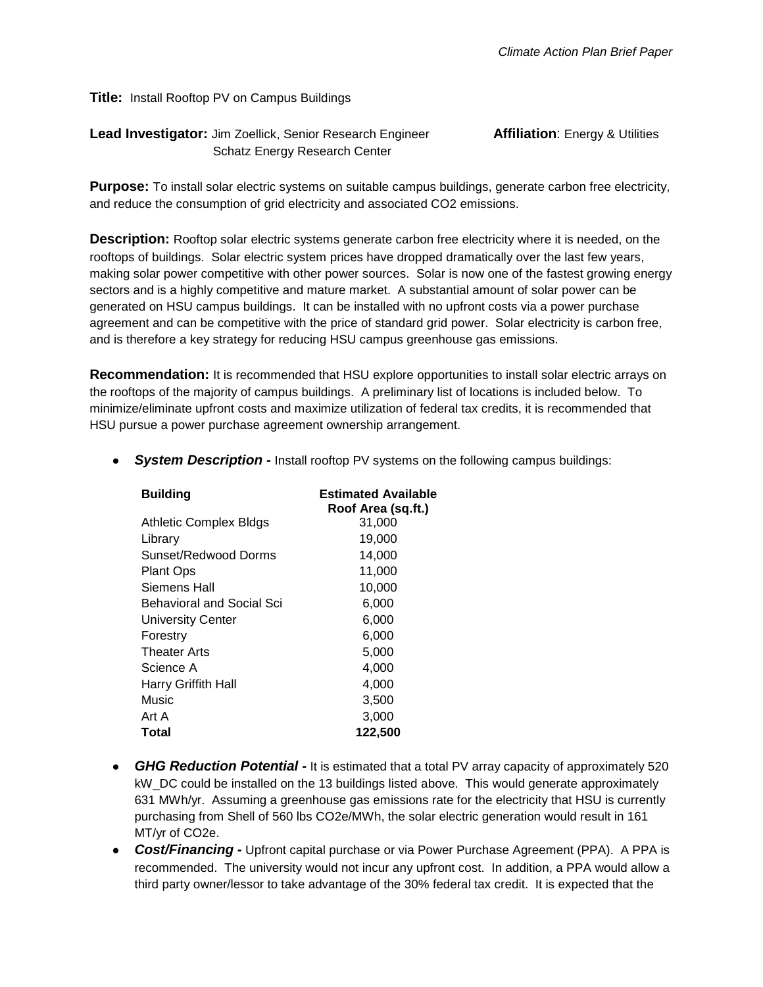**Title:** Install Rooftop PV on Campus Buildings

**Lead Investigator:** Jim Zoellick, Senior Research Engineer **Affiliation**: Energy & Utilities Schatz Energy Research Center

**Purpose:** To install solar electric systems on suitable campus buildings, generate carbon free electricity, and reduce the consumption of grid electricity and associated CO2 emissions.

**Description:** Rooftop solar electric systems generate carbon free electricity where it is needed, on the rooftops of buildings. Solar electric system prices have dropped dramatically over the last few years, making solar power competitive with other power sources. Solar is now one of the fastest growing energy sectors and is a highly competitive and mature market. A substantial amount of solar power can be generated on HSU campus buildings. It can be installed with no upfront costs via a power purchase agreement and can be competitive with the price of standard grid power. Solar electricity is carbon free, and is therefore a key strategy for reducing HSU campus greenhouse gas emissions.

**Recommendation:** It is recommended that HSU explore opportunities to install solar electric arrays on the rooftops of the majority of campus buildings. A preliminary list of locations is included below. To minimize/eliminate upfront costs and maximize utilization of federal tax credits, it is recommended that HSU pursue a power purchase agreement ownership arrangement.

● *System Description* **-** Install rooftop PV systems on the following campus buildings:

| <b>Building</b>           | <b>Estimated Available</b><br>Roof Area (sq.ft.) |  |
|---------------------------|--------------------------------------------------|--|
| Athletic Complex Bldgs    | 31,000                                           |  |
| Library                   | 19,000                                           |  |
| Sunset/Redwood Dorms      | 14,000                                           |  |
| <b>Plant Ops</b>          | 11,000                                           |  |
| Siemens Hall              | 10,000                                           |  |
| Behavioral and Social Sci | 6,000                                            |  |
| University Center         | 6,000                                            |  |
| Forestry                  | 6,000                                            |  |
| Theater Arts              | 5,000                                            |  |
| Science A                 | 4,000                                            |  |
| Harry Griffith Hall       | 4,000                                            |  |
| Music                     | 3,500                                            |  |
| Art A                     | 3,000                                            |  |
| Total                     | 122,500                                          |  |

- **GHG Reduction Potential** It is estimated that a total PV array capacity of approximately 520 kW\_DC could be installed on the 13 buildings listed above. This would generate approximately 631 MWh/yr. Assuming a greenhouse gas emissions rate for the electricity that HSU is currently purchasing from Shell of 560 lbs CO2e/MWh, the solar electric generation would result in 161 MT/yr of CO2e.
- *Cost/Financing -* Upfront capital purchase or via Power Purchase Agreement (PPA). A PPA is recommended. The university would not incur any upfront cost. In addition, a PPA would allow a third party owner/lessor to take advantage of the 30% federal tax credit. It is expected that the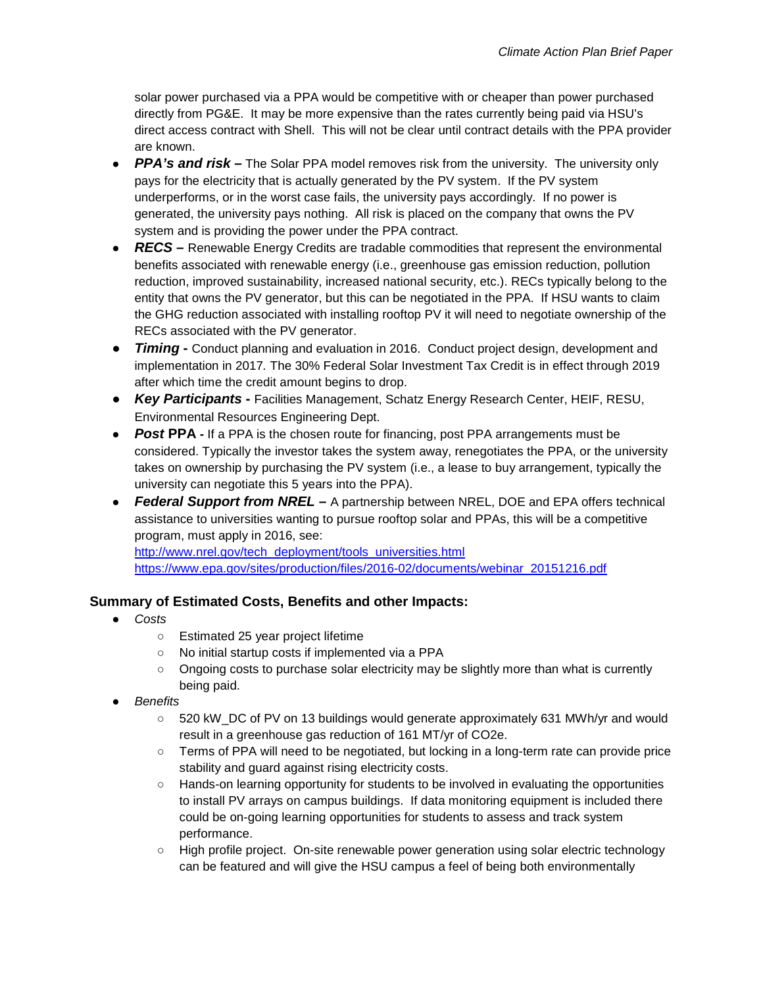solar power purchased via a PPA would be competitive with or cheaper than power purchased directly from PG&E. It may be more expensive than the rates currently being paid via HSU's direct access contract with Shell. This will not be clear until contract details with the PPA provider are known.

- *PPA's and risk* The Solar PPA model removes risk from the university. The university only pays for the electricity that is actually generated by the PV system. If the PV system underperforms, or in the worst case fails, the university pays accordingly. If no power is generated, the university pays nothing. All risk is placed on the company that owns the PV system and is providing the power under the PPA contract.
- *RECS* Renewable Energy Credits are tradable commodities that represent the environmental benefits associated with renewable energy (i.e., greenhouse gas emission reduction, pollution reduction, improved sustainability, increased national security, etc.). RECs typically belong to the entity that owns the PV generator, but this can be negotiated in the PPA. If HSU wants to claim the GHG reduction associated with installing rooftop PV it will need to negotiate ownership of the RECs associated with the PV generator.
- **•** *Timing* Conduct planning and evaluation in 2016. Conduct project design, development and implementation in 2017*.* The 30% Federal Solar Investment Tax Credit is in effect through 2019 after which time the credit amount begins to drop.
- *Key Participants* **-** Facilities Management, Schatz Energy Research Center, HEIF, RESU, Environmental Resources Engineering Dept.
- **Post PPA** If a PPA is the chosen route for financing, post PPA arrangements must be considered. Typically the investor takes the system away, renegotiates the PPA, or the university takes on ownership by purchasing the PV system (i.e., a lease to buy arrangement, typically the university can negotiate this 5 years into the PPA).
- *Federal Support from NREL –* A partnership between NREL, DOE and EPA offers technical assistance to universities wanting to pursue rooftop solar and PPAs, this will be a competitive program, must apply in 2016, see:

[http://www.nrel.gov/tech\\_deployment/tools\\_universities.html](http://www.nrel.gov/tech_deployment/tools_universities.html) [https://www.epa.gov/sites/production/files/2016-02/documents/webinar\\_20151216.pdf](https://www.epa.gov/sites/production/files/2016-02/documents/webinar_20151216.pdf)

## **Summary of Estimated Costs, Benefits and other Impacts:**

- *Costs*
	- Estimated 25 year project lifetime
	- No initial startup costs if implemented via a PPA
	- Ongoing costs to purchase solar electricity may be slightly more than what is currently being paid.
- *Benefits*
	- 520 kW\_DC of PV on 13 buildings would generate approximately 631 MWh/yr and would result in a greenhouse gas reduction of 161 MT/yr of CO2e.
	- Terms of PPA will need to be negotiated, but locking in a long-term rate can provide price stability and guard against rising electricity costs.
	- Hands-on learning opportunity for students to be involved in evaluating the opportunities to install PV arrays on campus buildings. If data monitoring equipment is included there could be on-going learning opportunities for students to assess and track system performance.
	- High profile project. On-site renewable power generation using solar electric technology can be featured and will give the HSU campus a feel of being both environmentally